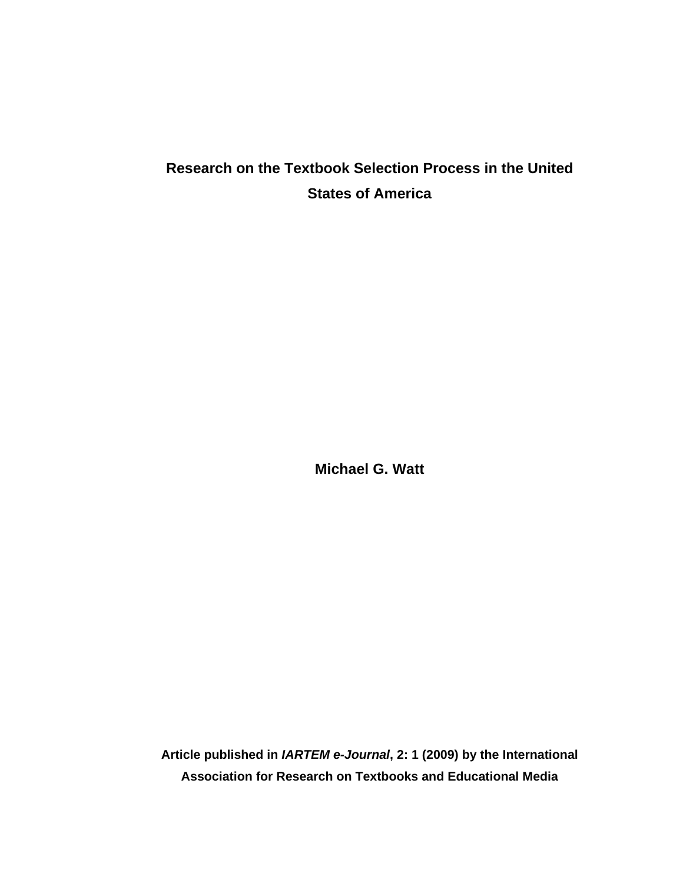# **Research on the Textbook Selection Process in the United States of America**

**Michael G. Watt** 

**Article published in** *IARTEM e-Journal***, 2: 1 (2009) by the International Association for Research on Textbooks and Educational Media**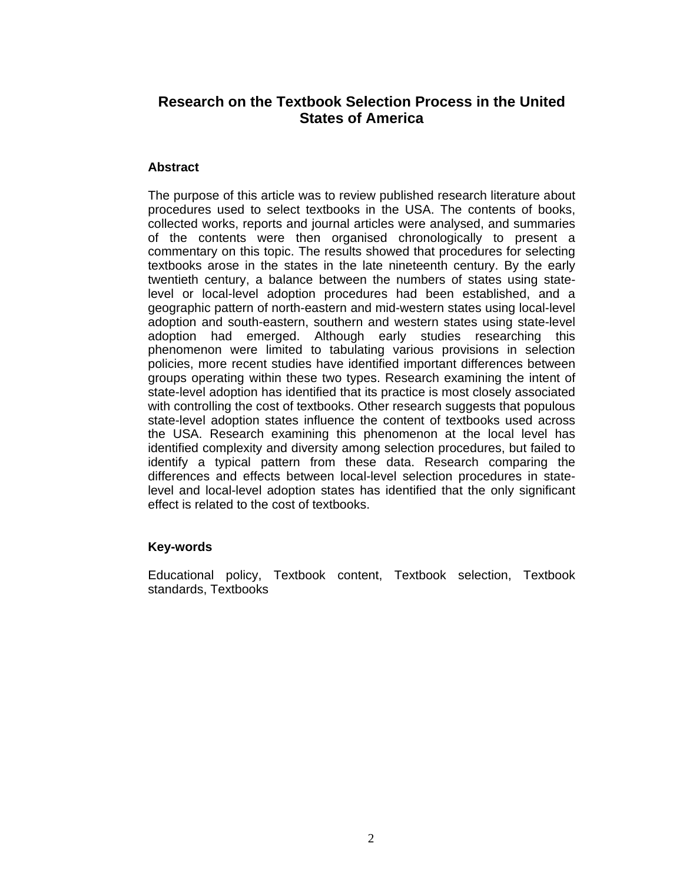# **Research on the Textbook Selection Process in the United States of America**

### **Abstract**

The purpose of this article was to review published research literature about procedures used to select textbooks in the USA. The contents of books, collected works, reports and journal articles were analysed, and summaries of the contents were then organised chronologically to present a commentary on this topic. The results showed that procedures for selecting textbooks arose in the states in the late nineteenth century. By the early twentieth century, a balance between the numbers of states using statelevel or local-level adoption procedures had been established, and a geographic pattern of north-eastern and mid-western states using local-level adoption and south-eastern, southern and western states using state-level adoption had emerged. Although early studies researching this phenomenon were limited to tabulating various provisions in selection policies, more recent studies have identified important differences between groups operating within these two types. Research examining the intent of state-level adoption has identified that its practice is most closely associated with controlling the cost of textbooks. Other research suggests that populous state-level adoption states influence the content of textbooks used across the USA. Research examining this phenomenon at the local level has identified complexity and diversity among selection procedures, but failed to identify a typical pattern from these data. Research comparing the differences and effects between local-level selection procedures in statelevel and local-level adoption states has identified that the only significant effect is related to the cost of textbooks.

# **Key-words**

Educational policy, Textbook content, Textbook selection, Textbook standards, Textbooks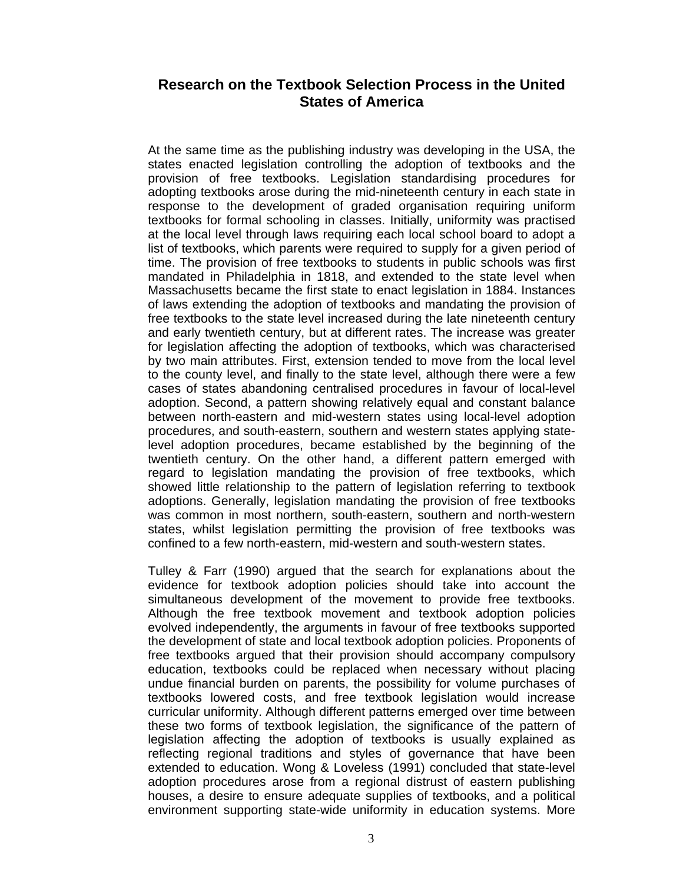# **Research on the Textbook Selection Process in the United States of America**

At the same time as the publishing industry was developing in the USA, the states enacted legislation controlling the adoption of textbooks and the provision of free textbooks. Legislation standardising procedures for adopting textbooks arose during the mid-nineteenth century in each state in response to the development of graded organisation requiring uniform textbooks for formal schooling in classes. Initially, uniformity was practised at the local level through laws requiring each local school board to adopt a list of textbooks, which parents were required to supply for a given period of time. The provision of free textbooks to students in public schools was first mandated in Philadelphia in 1818, and extended to the state level when Massachusetts became the first state to enact legislation in 1884. Instances of laws extending the adoption of textbooks and mandating the provision of free textbooks to the state level increased during the late nineteenth century and early twentieth century, but at different rates. The increase was greater for legislation affecting the adoption of textbooks, which was characterised by two main attributes. First, extension tended to move from the local level to the county level, and finally to the state level, although there were a few cases of states abandoning centralised procedures in favour of local-level adoption. Second, a pattern showing relatively equal and constant balance between north-eastern and mid-western states using local-level adoption procedures, and south-eastern, southern and western states applying statelevel adoption procedures, became established by the beginning of the twentieth century. On the other hand, a different pattern emerged with regard to legislation mandating the provision of free textbooks, which showed little relationship to the pattern of legislation referring to textbook adoptions. Generally, legislation mandating the provision of free textbooks was common in most northern, south-eastern, southern and north-western states, whilst legislation permitting the provision of free textbooks was confined to a few north-eastern, mid-western and south-western states.

Tulley & Farr (1990) argued that the search for explanations about the evidence for textbook adoption policies should take into account the simultaneous development of the movement to provide free textbooks. Although the free textbook movement and textbook adoption policies evolved independently, the arguments in favour of free textbooks supported the development of state and local textbook adoption policies. Proponents of free textbooks argued that their provision should accompany compulsory education, textbooks could be replaced when necessary without placing undue financial burden on parents, the possibility for volume purchases of textbooks lowered costs, and free textbook legislation would increase curricular uniformity. Although different patterns emerged over time between these two forms of textbook legislation, the significance of the pattern of legislation affecting the adoption of textbooks is usually explained as reflecting regional traditions and styles of governance that have been extended to education. Wong & Loveless (1991) concluded that state-level adoption procedures arose from a regional distrust of eastern publishing houses, a desire to ensure adequate supplies of textbooks, and a political environment supporting state-wide uniformity in education systems. More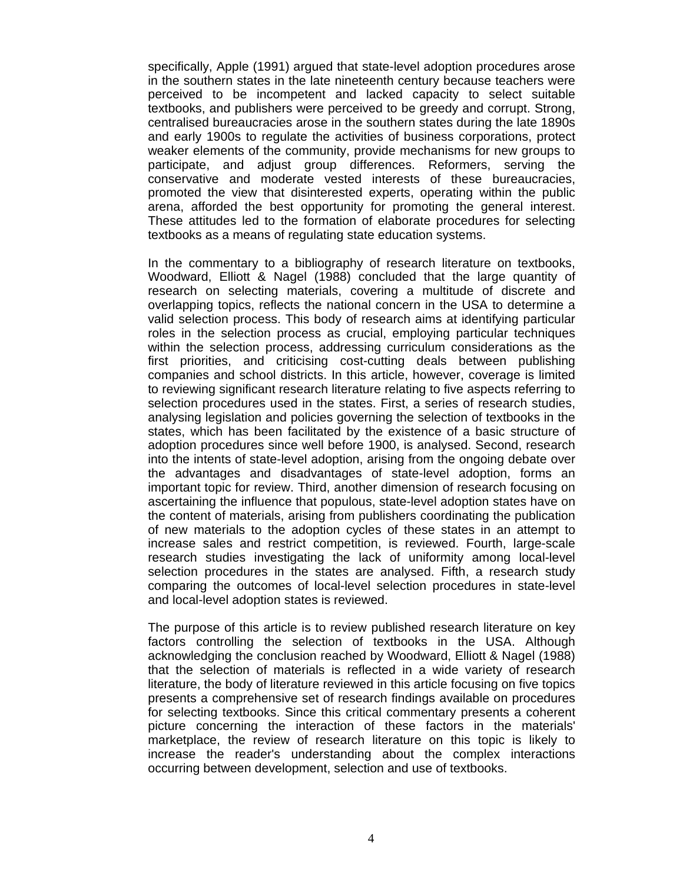specifically, Apple (1991) argued that state-level adoption procedures arose in the southern states in the late nineteenth century because teachers were perceived to be incompetent and lacked capacity to select suitable textbooks, and publishers were perceived to be greedy and corrupt. Strong, centralised bureaucracies arose in the southern states during the late 1890s and early 1900s to regulate the activities of business corporations, protect weaker elements of the community, provide mechanisms for new groups to participate, and adjust group differences. Reformers, serving the conservative and moderate vested interests of these bureaucracies, promoted the view that disinterested experts, operating within the public arena, afforded the best opportunity for promoting the general interest. These attitudes led to the formation of elaborate procedures for selecting textbooks as a means of regulating state education systems.

In the commentary to a bibliography of research literature on textbooks, Woodward, Elliott & Nagel (1988) concluded that the large quantity of research on selecting materials, covering a multitude of discrete and overlapping topics, reflects the national concern in the USA to determine a valid selection process. This body of research aims at identifying particular roles in the selection process as crucial, employing particular techniques within the selection process, addressing curriculum considerations as the first priorities, and criticising cost-cutting deals between publishing companies and school districts. In this article, however, coverage is limited to reviewing significant research literature relating to five aspects referring to selection procedures used in the states. First, a series of research studies, analysing legislation and policies governing the selection of textbooks in the states, which has been facilitated by the existence of a basic structure of adoption procedures since well before 1900, is analysed. Second, research into the intents of state-level adoption, arising from the ongoing debate over the advantages and disadvantages of state-level adoption, forms an important topic for review. Third, another dimension of research focusing on ascertaining the influence that populous, state-level adoption states have on the content of materials, arising from publishers coordinating the publication of new materials to the adoption cycles of these states in an attempt to increase sales and restrict competition, is reviewed. Fourth, large-scale research studies investigating the lack of uniformity among local-level selection procedures in the states are analysed. Fifth, a research study comparing the outcomes of local-level selection procedures in state-level and local-level adoption states is reviewed.

The purpose of this article is to review published research literature on key factors controlling the selection of textbooks in the USA. Although acknowledging the conclusion reached by Woodward, Elliott & Nagel (1988) that the selection of materials is reflected in a wide variety of research literature, the body of literature reviewed in this article focusing on five topics presents a comprehensive set of research findings available on procedures for selecting textbooks. Since this critical commentary presents a coherent picture concerning the interaction of these factors in the materials' marketplace, the review of research literature on this topic is likely to increase the reader's understanding about the complex interactions occurring between development, selection and use of textbooks.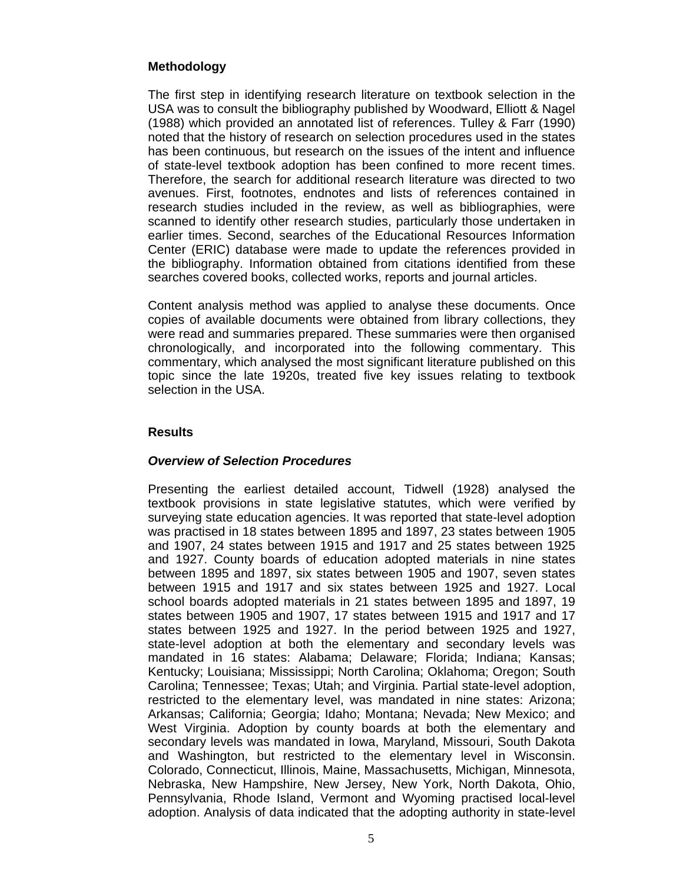# **Methodology**

The first step in identifying research literature on textbook selection in the USA was to consult the bibliography published by Woodward, Elliott & Nagel (1988) which provided an annotated list of references. Tulley & Farr (1990) noted that the history of research on selection procedures used in the states has been continuous, but research on the issues of the intent and influence of state-level textbook adoption has been confined to more recent times. Therefore, the search for additional research literature was directed to two avenues. First, footnotes, endnotes and lists of references contained in research studies included in the review, as well as bibliographies, were scanned to identify other research studies, particularly those undertaken in earlier times. Second, searches of the Educational Resources Information Center (ERIC) database were made to update the references provided in the bibliography. Information obtained from citations identified from these searches covered books, collected works, reports and journal articles.

Content analysis method was applied to analyse these documents. Once copies of available documents were obtained from library collections, they were read and summaries prepared. These summaries were then organised chronologically, and incorporated into the following commentary. This commentary, which analysed the most significant literature published on this topic since the late 1920s, treated five key issues relating to textbook selection in the USA.

### **Results**

# *Overview of Selection Procedures*

Presenting the earliest detailed account, Tidwell (1928) analysed the textbook provisions in state legislative statutes, which were verified by surveying state education agencies. It was reported that state-level adoption was practised in 18 states between 1895 and 1897, 23 states between 1905 and 1907, 24 states between 1915 and 1917 and 25 states between 1925 and 1927. County boards of education adopted materials in nine states between 1895 and 1897, six states between 1905 and 1907, seven states between 1915 and 1917 and six states between 1925 and 1927. Local school boards adopted materials in 21 states between 1895 and 1897, 19 states between 1905 and 1907, 17 states between 1915 and 1917 and 17 states between 1925 and 1927. In the period between 1925 and 1927, state-level adoption at both the elementary and secondary levels was mandated in 16 states: Alabama; Delaware; Florida; Indiana; Kansas; Kentucky; Louisiana; Mississippi; North Carolina; Oklahoma; Oregon; South Carolina; Tennessee; Texas; Utah; and Virginia. Partial state-level adoption, restricted to the elementary level, was mandated in nine states: Arizona; Arkansas; California; Georgia; Idaho; Montana; Nevada; New Mexico; and West Virginia. Adoption by county boards at both the elementary and secondary levels was mandated in Iowa, Maryland, Missouri, South Dakota and Washington, but restricted to the elementary level in Wisconsin. Colorado, Connecticut, Illinois, Maine, Massachusetts, Michigan, Minnesota, Nebraska, New Hampshire, New Jersey, New York, North Dakota, Ohio, Pennsylvania, Rhode Island, Vermont and Wyoming practised local-level adoption. Analysis of data indicated that the adopting authority in state-level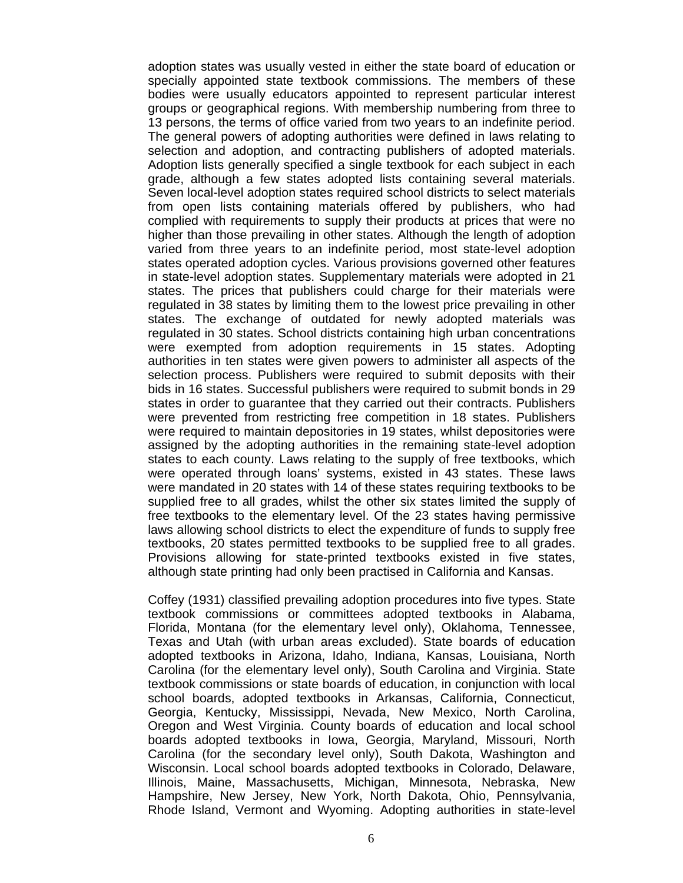adoption states was usually vested in either the state board of education or specially appointed state textbook commissions. The members of these bodies were usually educators appointed to represent particular interest groups or geographical regions. With membership numbering from three to 13 persons, the terms of office varied from two years to an indefinite period. The general powers of adopting authorities were defined in laws relating to selection and adoption, and contracting publishers of adopted materials. Adoption lists generally specified a single textbook for each subject in each grade, although a few states adopted lists containing several materials. Seven local-level adoption states required school districts to select materials from open lists containing materials offered by publishers, who had complied with requirements to supply their products at prices that were no higher than those prevailing in other states. Although the length of adoption varied from three years to an indefinite period, most state-level adoption states operated adoption cycles. Various provisions governed other features in state-level adoption states. Supplementary materials were adopted in 21 states. The prices that publishers could charge for their materials were regulated in 38 states by limiting them to the lowest price prevailing in other states. The exchange of outdated for newly adopted materials was regulated in 30 states. School districts containing high urban concentrations were exempted from adoption requirements in 15 states. Adopting authorities in ten states were given powers to administer all aspects of the selection process. Publishers were required to submit deposits with their bids in 16 states. Successful publishers were required to submit bonds in 29 states in order to guarantee that they carried out their contracts. Publishers were prevented from restricting free competition in 18 states. Publishers were required to maintain depositories in 19 states, whilst depositories were assigned by the adopting authorities in the remaining state-level adoption states to each county. Laws relating to the supply of free textbooks, which were operated through loans' systems, existed in 43 states. These laws were mandated in 20 states with 14 of these states requiring textbooks to be supplied free to all grades, whilst the other six states limited the supply of free textbooks to the elementary level. Of the 23 states having permissive laws allowing school districts to elect the expenditure of funds to supply free textbooks, 20 states permitted textbooks to be supplied free to all grades. Provisions allowing for state-printed textbooks existed in five states, although state printing had only been practised in California and Kansas.

Coffey (1931) classified prevailing adoption procedures into five types. State textbook commissions or committees adopted textbooks in Alabama, Florida, Montana (for the elementary level only), Oklahoma, Tennessee, Texas and Utah (with urban areas excluded). State boards of education adopted textbooks in Arizona, Idaho, Indiana, Kansas, Louisiana, North Carolina (for the elementary level only), South Carolina and Virginia. State textbook commissions or state boards of education, in conjunction with local school boards, adopted textbooks in Arkansas, California, Connecticut, Georgia, Kentucky, Mississippi, Nevada, New Mexico, North Carolina, Oregon and West Virginia. County boards of education and local school boards adopted textbooks in Iowa, Georgia, Maryland, Missouri, North Carolina (for the secondary level only), South Dakota, Washington and Wisconsin. Local school boards adopted textbooks in Colorado, Delaware, Illinois, Maine, Massachusetts, Michigan, Minnesota, Nebraska, New Hampshire, New Jersey, New York, North Dakota, Ohio, Pennsylvania, Rhode Island, Vermont and Wyoming. Adopting authorities in state-level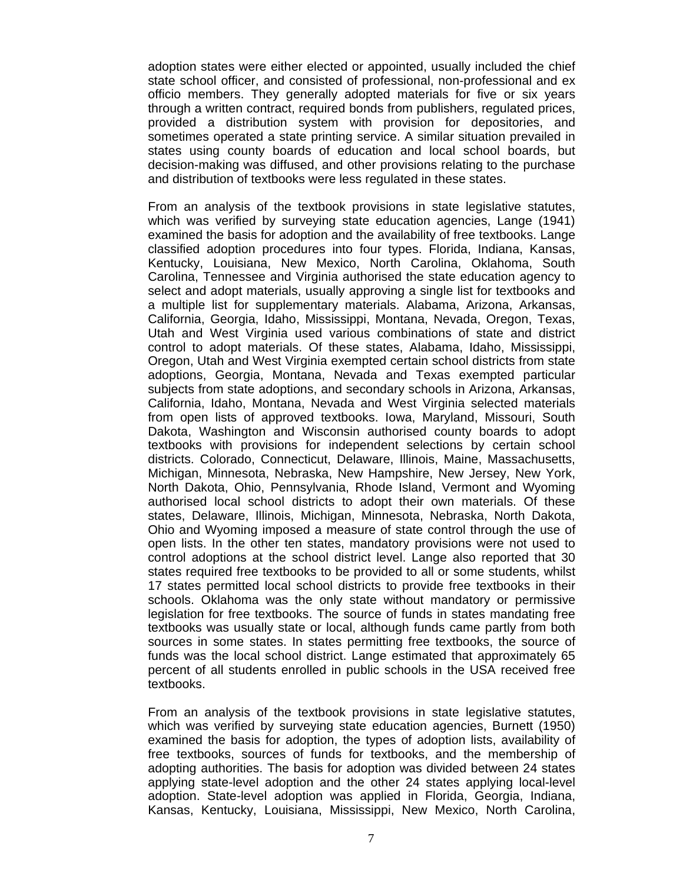adoption states were either elected or appointed, usually included the chief state school officer, and consisted of professional, non-professional and ex officio members. They generally adopted materials for five or six years through a written contract, required bonds from publishers, regulated prices, provided a distribution system with provision for depositories, and sometimes operated a state printing service. A similar situation prevailed in states using county boards of education and local school boards, but decision-making was diffused, and other provisions relating to the purchase and distribution of textbooks were less regulated in these states.

From an analysis of the textbook provisions in state legislative statutes, which was verified by surveying state education agencies, Lange (1941) examined the basis for adoption and the availability of free textbooks. Lange classified adoption procedures into four types. Florida, Indiana, Kansas, Kentucky, Louisiana, New Mexico, North Carolina, Oklahoma, South Carolina, Tennessee and Virginia authorised the state education agency to select and adopt materials, usually approving a single list for textbooks and a multiple list for supplementary materials. Alabama, Arizona, Arkansas, California, Georgia, Idaho, Mississippi, Montana, Nevada, Oregon, Texas, Utah and West Virginia used various combinations of state and district control to adopt materials. Of these states, Alabama, Idaho, Mississippi, Oregon, Utah and West Virginia exempted certain school districts from state adoptions, Georgia, Montana, Nevada and Texas exempted particular subjects from state adoptions, and secondary schools in Arizona, Arkansas, California, Idaho, Montana, Nevada and West Virginia selected materials from open lists of approved textbooks. Iowa, Maryland, Missouri, South Dakota, Washington and Wisconsin authorised county boards to adopt textbooks with provisions for independent selections by certain school districts. Colorado, Connecticut, Delaware, Illinois, Maine, Massachusetts, Michigan, Minnesota, Nebraska, New Hampshire, New Jersey, New York, North Dakota, Ohio, Pennsylvania, Rhode Island, Vermont and Wyoming authorised local school districts to adopt their own materials. Of these states, Delaware, Illinois, Michigan, Minnesota, Nebraska, North Dakota, Ohio and Wyoming imposed a measure of state control through the use of open lists. In the other ten states, mandatory provisions were not used to control adoptions at the school district level. Lange also reported that 30 states required free textbooks to be provided to all or some students, whilst 17 states permitted local school districts to provide free textbooks in their schools. Oklahoma was the only state without mandatory or permissive legislation for free textbooks. The source of funds in states mandating free textbooks was usually state or local, although funds came partly from both sources in some states. In states permitting free textbooks, the source of funds was the local school district. Lange estimated that approximately 65 percent of all students enrolled in public schools in the USA received free textbooks.

From an analysis of the textbook provisions in state legislative statutes, which was verified by surveying state education agencies, Burnett (1950) examined the basis for adoption, the types of adoption lists, availability of free textbooks, sources of funds for textbooks, and the membership of adopting authorities. The basis for adoption was divided between 24 states applying state-level adoption and the other 24 states applying local-level adoption. State-level adoption was applied in Florida, Georgia, Indiana, Kansas, Kentucky, Louisiana, Mississippi, New Mexico, North Carolina,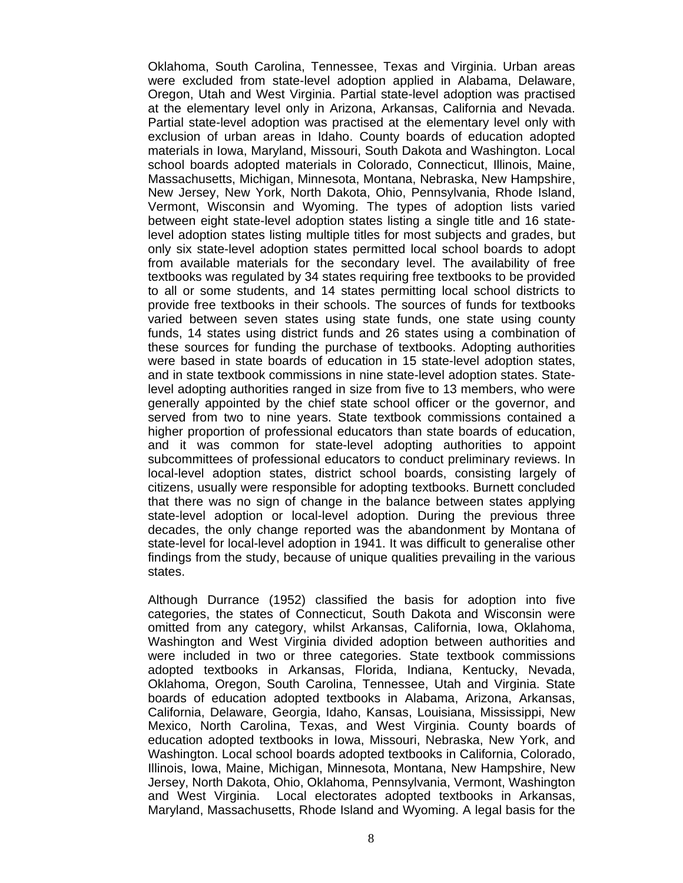Oklahoma, South Carolina, Tennessee, Texas and Virginia. Urban areas were excluded from state-level adoption applied in Alabama, Delaware, Oregon, Utah and West Virginia. Partial state-level adoption was practised at the elementary level only in Arizona, Arkansas, California and Nevada. Partial state-level adoption was practised at the elementary level only with exclusion of urban areas in Idaho. County boards of education adopted materials in Iowa, Maryland, Missouri, South Dakota and Washington. Local school boards adopted materials in Colorado, Connecticut, Illinois, Maine, Massachusetts, Michigan, Minnesota, Montana, Nebraska, New Hampshire, New Jersey, New York, North Dakota, Ohio, Pennsylvania, Rhode Island, Vermont, Wisconsin and Wyoming. The types of adoption lists varied between eight state-level adoption states listing a single title and 16 statelevel adoption states listing multiple titles for most subjects and grades, but only six state-level adoption states permitted local school boards to adopt from available materials for the secondary level. The availability of free textbooks was regulated by 34 states requiring free textbooks to be provided to all or some students, and 14 states permitting local school districts to provide free textbooks in their schools. The sources of funds for textbooks varied between seven states using state funds, one state using county funds, 14 states using district funds and 26 states using a combination of these sources for funding the purchase of textbooks. Adopting authorities were based in state boards of education in 15 state-level adoption states, and in state textbook commissions in nine state-level adoption states. Statelevel adopting authorities ranged in size from five to 13 members, who were generally appointed by the chief state school officer or the governor, and served from two to nine years. State textbook commissions contained a higher proportion of professional educators than state boards of education, and it was common for state-level adopting authorities to appoint subcommittees of professional educators to conduct preliminary reviews. In local-level adoption states, district school boards, consisting largely of citizens, usually were responsible for adopting textbooks. Burnett concluded that there was no sign of change in the balance between states applying state-level adoption or local-level adoption. During the previous three decades, the only change reported was the abandonment by Montana of state-level for local-level adoption in 1941. It was difficult to generalise other findings from the study, because of unique qualities prevailing in the various states.

Although Durrance (1952) classified the basis for adoption into five categories, the states of Connecticut, South Dakota and Wisconsin were omitted from any category, whilst Arkansas, California, Iowa, Oklahoma, Washington and West Virginia divided adoption between authorities and were included in two or three categories. State textbook commissions adopted textbooks in Arkansas, Florida, Indiana, Kentucky, Nevada, Oklahoma, Oregon, South Carolina, Tennessee, Utah and Virginia. State boards of education adopted textbooks in Alabama, Arizona, Arkansas, California, Delaware, Georgia, Idaho, Kansas, Louisiana, Mississippi, New Mexico, North Carolina, Texas, and West Virginia. County boards of education adopted textbooks in Iowa, Missouri, Nebraska, New York, and Washington. Local school boards adopted textbooks in California, Colorado, Illinois, Iowa, Maine, Michigan, Minnesota, Montana, New Hampshire, New Jersey, North Dakota, Ohio, Oklahoma, Pennsylvania, Vermont, Washington and West Virginia. Local electorates adopted textbooks in Arkansas, Maryland, Massachusetts, Rhode Island and Wyoming. A legal basis for the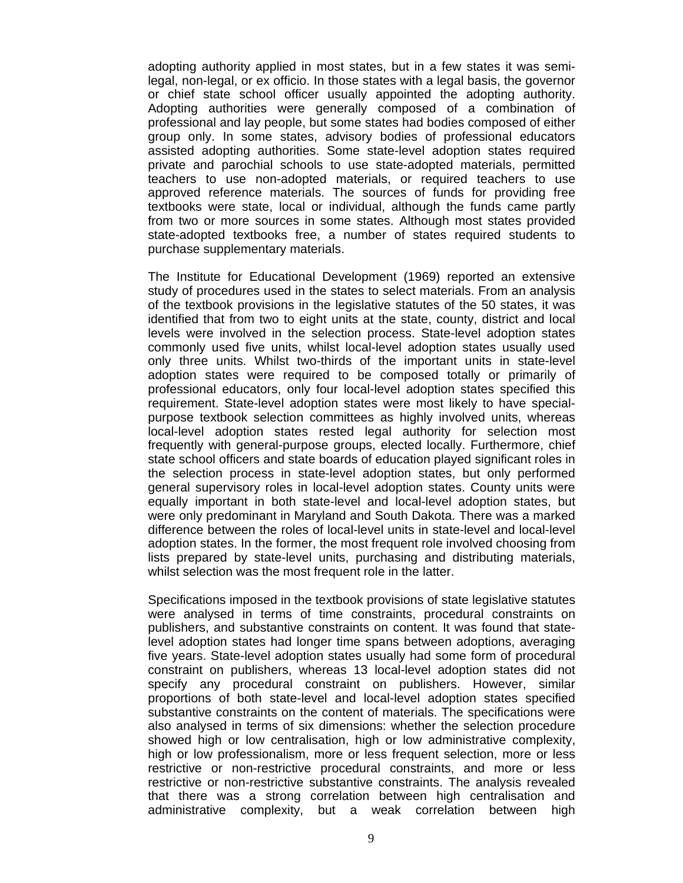adopting authority applied in most states, but in a few states it was semilegal, non-legal, or ex officio. In those states with a legal basis, the governor or chief state school officer usually appointed the adopting authority. Adopting authorities were generally composed of a combination of professional and lay people, but some states had bodies composed of either group only. In some states, advisory bodies of professional educators assisted adopting authorities. Some state-level adoption states required private and parochial schools to use state-adopted materials, permitted teachers to use non-adopted materials, or required teachers to use approved reference materials. The sources of funds for providing free textbooks were state, local or individual, although the funds came partly from two or more sources in some states. Although most states provided state-adopted textbooks free, a number of states required students to purchase supplementary materials.

The Institute for Educational Development (1969) reported an extensive study of procedures used in the states to select materials. From an analysis of the textbook provisions in the legislative statutes of the 50 states, it was identified that from two to eight units at the state, county, district and local levels were involved in the selection process. State-level adoption states commonly used five units, whilst local-level adoption states usually used only three units. Whilst two-thirds of the important units in state-level adoption states were required to be composed totally or primarily of professional educators, only four local-level adoption states specified this requirement. State-level adoption states were most likely to have specialpurpose textbook selection committees as highly involved units, whereas local-level adoption states rested legal authority for selection most frequently with general-purpose groups, elected locally. Furthermore, chief state school officers and state boards of education played significant roles in the selection process in state-level adoption states, but only performed general supervisory roles in local-level adoption states. County units were equally important in both state-level and local-level adoption states, but were only predominant in Maryland and South Dakota. There was a marked difference between the roles of local-level units in state-level and local-level adoption states. In the former, the most frequent role involved choosing from lists prepared by state-level units, purchasing and distributing materials, whilst selection was the most frequent role in the latter.

Specifications imposed in the textbook provisions of state legislative statutes were analysed in terms of time constraints, procedural constraints on publishers, and substantive constraints on content. It was found that statelevel adoption states had longer time spans between adoptions, averaging five years. State-level adoption states usually had some form of procedural constraint on publishers, whereas 13 local-level adoption states did not specify any procedural constraint on publishers. However, similar proportions of both state-level and local-level adoption states specified substantive constraints on the content of materials. The specifications were also analysed in terms of six dimensions: whether the selection procedure showed high or low centralisation, high or low administrative complexity, high or low professionalism, more or less frequent selection, more or less restrictive or non-restrictive procedural constraints, and more or less restrictive or non-restrictive substantive constraints. The analysis revealed that there was a strong correlation between high centralisation and administrative complexity, but a weak correlation between high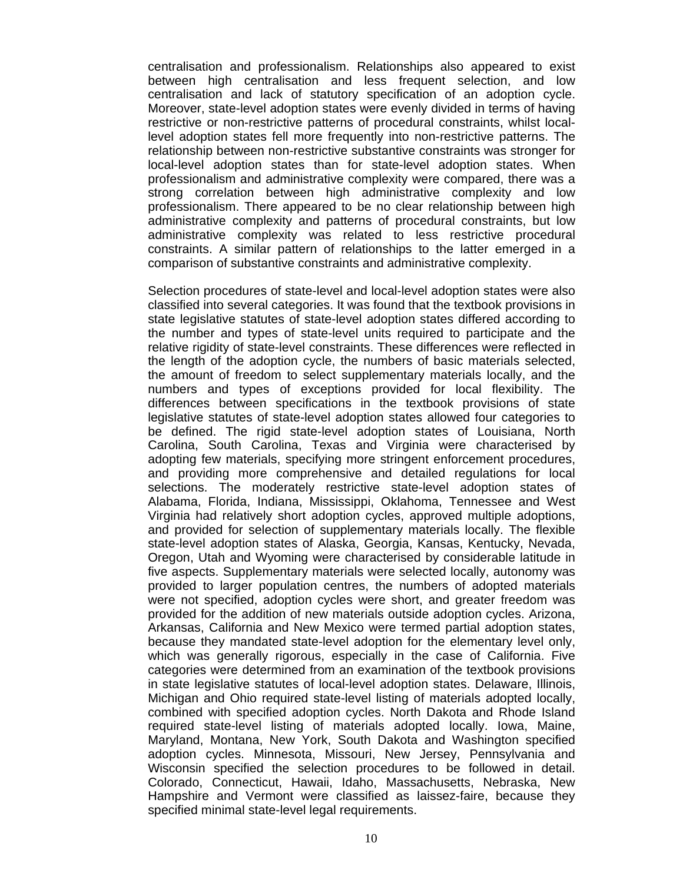centralisation and professionalism. Relationships also appeared to exist between high centralisation and less frequent selection, and low centralisation and lack of statutory specification of an adoption cycle. Moreover, state-level adoption states were evenly divided in terms of having restrictive or non-restrictive patterns of procedural constraints, whilst locallevel adoption states fell more frequently into non-restrictive patterns. The relationship between non-restrictive substantive constraints was stronger for local-level adoption states than for state-level adoption states. When professionalism and administrative complexity were compared, there was a strong correlation between high administrative complexity and low professionalism. There appeared to be no clear relationship between high administrative complexity and patterns of procedural constraints, but low administrative complexity was related to less restrictive procedural constraints. A similar pattern of relationships to the latter emerged in a comparison of substantive constraints and administrative complexity.

Selection procedures of state-level and local-level adoption states were also classified into several categories. It was found that the textbook provisions in state legislative statutes of state-level adoption states differed according to the number and types of state-level units required to participate and the relative rigidity of state-level constraints. These differences were reflected in the length of the adoption cycle, the numbers of basic materials selected, the amount of freedom to select supplementary materials locally, and the numbers and types of exceptions provided for local flexibility. The differences between specifications in the textbook provisions of state legislative statutes of state-level adoption states allowed four categories to be defined. The rigid state-level adoption states of Louisiana, North Carolina, South Carolina, Texas and Virginia were characterised by adopting few materials, specifying more stringent enforcement procedures, and providing more comprehensive and detailed regulations for local selections. The moderately restrictive state-level adoption states of Alabama, Florida, Indiana, Mississippi, Oklahoma, Tennessee and West Virginia had relatively short adoption cycles, approved multiple adoptions, and provided for selection of supplementary materials locally. The flexible state-level adoption states of Alaska, Georgia, Kansas, Kentucky, Nevada, Oregon, Utah and Wyoming were characterised by considerable latitude in five aspects. Supplementary materials were selected locally, autonomy was provided to larger population centres, the numbers of adopted materials were not specified, adoption cycles were short, and greater freedom was provided for the addition of new materials outside adoption cycles. Arizona, Arkansas, California and New Mexico were termed partial adoption states, because they mandated state-level adoption for the elementary level only, which was generally rigorous, especially in the case of California. Five categories were determined from an examination of the textbook provisions in state legislative statutes of local-level adoption states. Delaware, Illinois, Michigan and Ohio required state-level listing of materials adopted locally, combined with specified adoption cycles. North Dakota and Rhode Island required state-level listing of materials adopted locally. Iowa, Maine, Maryland, Montana, New York, South Dakota and Washington specified adoption cycles. Minnesota, Missouri, New Jersey, Pennsylvania and Wisconsin specified the selection procedures to be followed in detail. Colorado, Connecticut, Hawaii, Idaho, Massachusetts, Nebraska, New Hampshire and Vermont were classified as laissez-faire, because they specified minimal state-level legal requirements.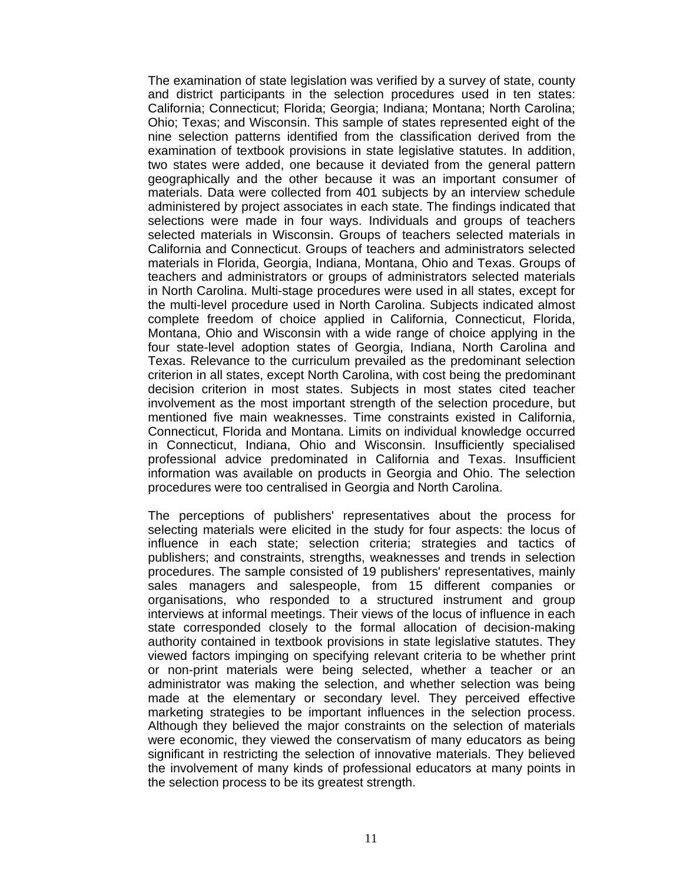The examination of state legislation was verified by a survey of state, county and district participants in the selection procedures used in ten states: California; Connecticut; Florida; Georgia; Indiana; Montana; North Carolina; Ohio; Texas; and Wisconsin. This sample of states represented eight of the nine selection patterns identified from the classification derived from the examination of textbook provisions in state legislative statutes. In addition, two states were added, one because it deviated from the general pattern geographically and the other because it was an important consumer of materials. Data were collected from 401 subjects by an interview schedule administered by project associates in each state. The findings indicated that selections were made in four ways. Individuals and groups of teachers selected materials in Wisconsin. Groups of teachers selected materials in California and Connecticut. Groups of teachers and administrators selected materials in Florida, Georgia, Indiana, Montana, Ohio and Texas. Groups of teachers and administrators or groups of administrators selected materials in North Carolina. Multi-stage procedures were used in all states, except for the multi-level procedure used in North Carolina. Subjects indicated almost complete freedom of choice applied in California, Connecticut, Florida, Montana, Ohio and Wisconsin with a wide range of choice applying in the four state-level adoption states of Georgia, Indiana, North Carolina and Texas. Relevance to the curriculum prevailed as the predominant selection criterion in all states, except North Carolina, with cost being the predominant decision criterion in most states. Subjects in most states cited teacher involvement as the most important strength of the selection procedure, but mentioned five main weaknesses. Time constraints existed in California, Connecticut, Florida and Montana. Limits on individual knowledge occurred in Connecticut, Indiana, Ohio and Wisconsin. Insufficiently specialised professional advice predominated in California and Texas. Insufficient information was available on products in Georgia and Ohio. The selection procedures were too centralised in Georgia and North Carolina.

The perceptions of publishers' representatives about the process for selecting materials were elicited in the study for four aspects: the locus of influence in each state; selection criteria; strategies and tactics of publishers; and constraints, strengths, weaknesses and trends in selection procedures. The sample consisted of 19 publishers' representatives, mainly sales managers and salespeople, from 15 different companies or organisations, who responded to a structured instrument and group interviews at informal meetings. Their views of the locus of influence in each state corresponded closely to the formal allocation of decision-making authority contained in textbook provisions in state legislative statutes. They viewed factors impinging on specifying relevant criteria to be whether print or non-print materials were being selected, whether a teacher or an administrator was making the selection, and whether selection was being made at the elementary or secondary level. They perceived effective marketing strategies to be important influences in the selection process. Although they believed the major constraints on the selection of materials were economic, they viewed the conservatism of many educators as being significant in restricting the selection of innovative materials. They believed the involvement of many kinds of professional educators at many points in the selection process to be its greatest strength.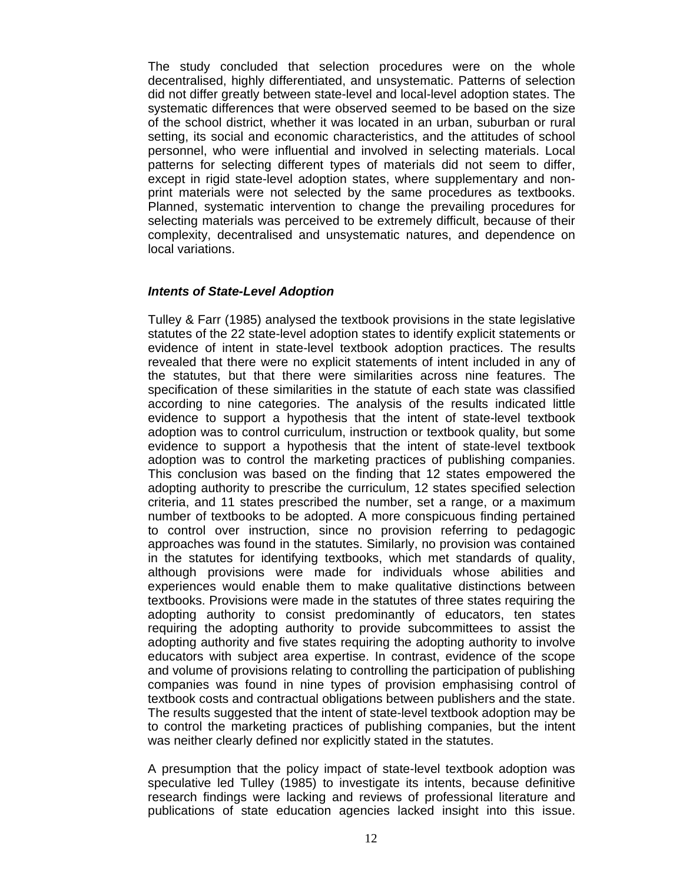The study concluded that selection procedures were on the whole decentralised, highly differentiated, and unsystematic. Patterns of selection did not differ greatly between state-level and local-level adoption states. The systematic differences that were observed seemed to be based on the size of the school district, whether it was located in an urban, suburban or rural setting, its social and economic characteristics, and the attitudes of school personnel, who were influential and involved in selecting materials. Local patterns for selecting different types of materials did not seem to differ, except in rigid state-level adoption states, where supplementary and nonprint materials were not selected by the same procedures as textbooks. Planned, systematic intervention to change the prevailing procedures for selecting materials was perceived to be extremely difficult, because of their complexity, decentralised and unsystematic natures, and dependence on local variations.

### *Intents of State-Level Adoption*

Tulley & Farr (1985) analysed the textbook provisions in the state legislative statutes of the 22 state-level adoption states to identify explicit statements or evidence of intent in state-level textbook adoption practices. The results revealed that there were no explicit statements of intent included in any of the statutes, but that there were similarities across nine features. The specification of these similarities in the statute of each state was classified according to nine categories. The analysis of the results indicated little evidence to support a hypothesis that the intent of state-level textbook adoption was to control curriculum, instruction or textbook quality, but some evidence to support a hypothesis that the intent of state-level textbook adoption was to control the marketing practices of publishing companies. This conclusion was based on the finding that 12 states empowered the adopting authority to prescribe the curriculum, 12 states specified selection criteria, and 11 states prescribed the number, set a range, or a maximum number of textbooks to be adopted. A more conspicuous finding pertained to control over instruction, since no provision referring to pedagogic approaches was found in the statutes. Similarly, no provision was contained in the statutes for identifying textbooks, which met standards of quality, although provisions were made for individuals whose abilities and experiences would enable them to make qualitative distinctions between textbooks. Provisions were made in the statutes of three states requiring the adopting authority to consist predominantly of educators, ten states requiring the adopting authority to provide subcommittees to assist the adopting authority and five states requiring the adopting authority to involve educators with subject area expertise. In contrast, evidence of the scope and volume of provisions relating to controlling the participation of publishing companies was found in nine types of provision emphasising control of textbook costs and contractual obligations between publishers and the state. The results suggested that the intent of state-level textbook adoption may be to control the marketing practices of publishing companies, but the intent was neither clearly defined nor explicitly stated in the statutes.

A presumption that the policy impact of state-level textbook adoption was speculative led Tulley (1985) to investigate its intents, because definitive research findings were lacking and reviews of professional literature and publications of state education agencies lacked insight into this issue.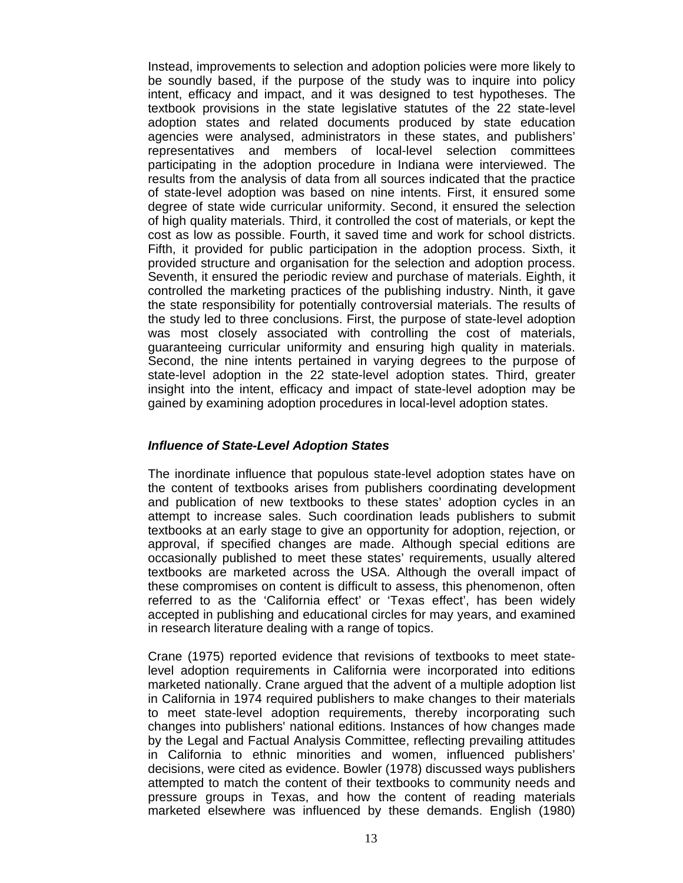Instead, improvements to selection and adoption policies were more likely to be soundly based, if the purpose of the study was to inquire into policy intent, efficacy and impact, and it was designed to test hypotheses. The textbook provisions in the state legislative statutes of the 22 state-level adoption states and related documents produced by state education agencies were analysed, administrators in these states, and publishers' representatives and members of local-level selection committees participating in the adoption procedure in Indiana were interviewed. The results from the analysis of data from all sources indicated that the practice of state-level adoption was based on nine intents. First, it ensured some degree of state wide curricular uniformity. Second, it ensured the selection of high quality materials. Third, it controlled the cost of materials, or kept the cost as low as possible. Fourth, it saved time and work for school districts. Fifth, it provided for public participation in the adoption process. Sixth, it provided structure and organisation for the selection and adoption process. Seventh, it ensured the periodic review and purchase of materials. Eighth, it controlled the marketing practices of the publishing industry. Ninth, it gave the state responsibility for potentially controversial materials. The results of the study led to three conclusions. First, the purpose of state-level adoption was most closely associated with controlling the cost of materials, guaranteeing curricular uniformity and ensuring high quality in materials. Second, the nine intents pertained in varying degrees to the purpose of state-level adoption in the 22 state-level adoption states. Third, greater insight into the intent, efficacy and impact of state-level adoption may be gained by examining adoption procedures in local-level adoption states.

## *Influence of State-Level Adoption States*

The inordinate influence that populous state-level adoption states have on the content of textbooks arises from publishers coordinating development and publication of new textbooks to these states' adoption cycles in an attempt to increase sales. Such coordination leads publishers to submit textbooks at an early stage to give an opportunity for adoption, rejection, or approval, if specified changes are made. Although special editions are occasionally published to meet these states' requirements, usually altered textbooks are marketed across the USA. Although the overall impact of these compromises on content is difficult to assess, this phenomenon, often referred to as the 'California effect' or 'Texas effect', has been widely accepted in publishing and educational circles for may years, and examined in research literature dealing with a range of topics.

Crane (1975) reported evidence that revisions of textbooks to meet statelevel adoption requirements in California were incorporated into editions marketed nationally. Crane argued that the advent of a multiple adoption list in California in 1974 required publishers to make changes to their materials to meet state-level adoption requirements, thereby incorporating such changes into publishers' national editions. Instances of how changes made by the Legal and Factual Analysis Committee, reflecting prevailing attitudes in California to ethnic minorities and women, influenced publishers' decisions, were cited as evidence. Bowler (1978) discussed ways publishers attempted to match the content of their textbooks to community needs and pressure groups in Texas, and how the content of reading materials marketed elsewhere was influenced by these demands. English (1980)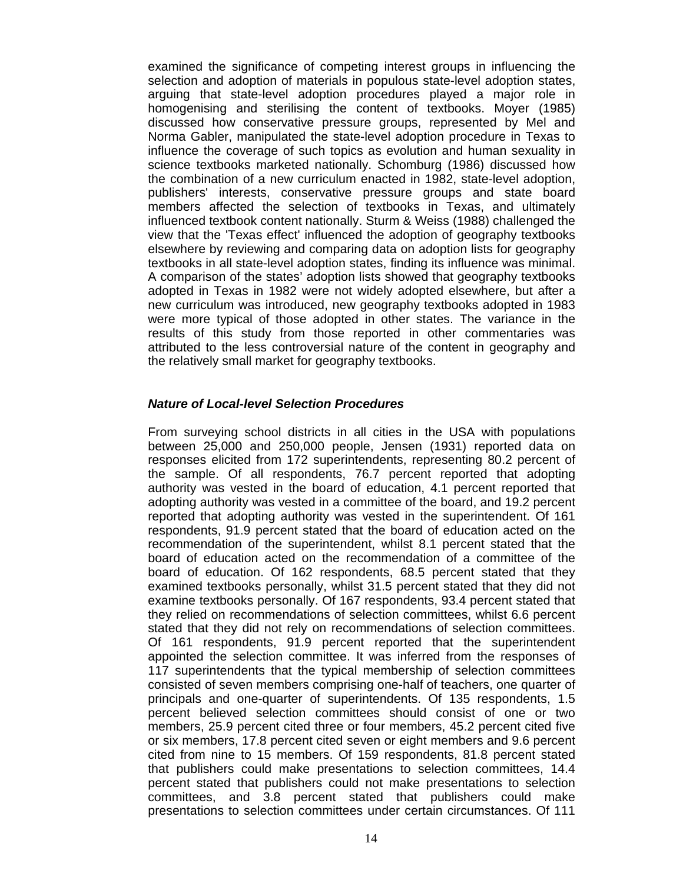examined the significance of competing interest groups in influencing the selection and adoption of materials in populous state-level adoption states, arguing that state-level adoption procedures played a major role in homogenising and sterilising the content of textbooks. Moyer (1985) discussed how conservative pressure groups, represented by Mel and Norma Gabler, manipulated the state-level adoption procedure in Texas to influence the coverage of such topics as evolution and human sexuality in science textbooks marketed nationally. Schomburg (1986) discussed how the combination of a new curriculum enacted in 1982, state-level adoption, publishers' interests, conservative pressure groups and state board members affected the selection of textbooks in Texas, and ultimately influenced textbook content nationally. Sturm & Weiss (1988) challenged the view that the 'Texas effect' influenced the adoption of geography textbooks elsewhere by reviewing and comparing data on adoption lists for geography textbooks in all state-level adoption states, finding its influence was minimal. A comparison of the states' adoption lists showed that geography textbooks adopted in Texas in 1982 were not widely adopted elsewhere, but after a new curriculum was introduced, new geography textbooks adopted in 1983 were more typical of those adopted in other states. The variance in the results of this study from those reported in other commentaries was attributed to the less controversial nature of the content in geography and the relatively small market for geography textbooks.

#### *Nature of Local-level Selection Procedures*

From surveying school districts in all cities in the USA with populations between 25,000 and 250,000 people, Jensen (1931) reported data on responses elicited from 172 superintendents, representing 80.2 percent of the sample. Of all respondents, 76.7 percent reported that adopting authority was vested in the board of education, 4.1 percent reported that adopting authority was vested in a committee of the board, and 19.2 percent reported that adopting authority was vested in the superintendent. Of 161 respondents, 91.9 percent stated that the board of education acted on the recommendation of the superintendent, whilst 8.1 percent stated that the board of education acted on the recommendation of a committee of the board of education. Of 162 respondents, 68.5 percent stated that they examined textbooks personally, whilst 31.5 percent stated that they did not examine textbooks personally. Of 167 respondents, 93.4 percent stated that they relied on recommendations of selection committees, whilst 6.6 percent stated that they did not rely on recommendations of selection committees. Of 161 respondents, 91.9 percent reported that the superintendent appointed the selection committee. It was inferred from the responses of 117 superintendents that the typical membership of selection committees consisted of seven members comprising one-half of teachers, one quarter of principals and one-quarter of superintendents. Of 135 respondents, 1.5 percent believed selection committees should consist of one or two members, 25.9 percent cited three or four members, 45.2 percent cited five or six members, 17.8 percent cited seven or eight members and 9.6 percent cited from nine to 15 members. Of 159 respondents, 81.8 percent stated that publishers could make presentations to selection committees, 14.4 percent stated that publishers could not make presentations to selection committees, and 3.8 percent stated that publishers could make presentations to selection committees under certain circumstances. Of 111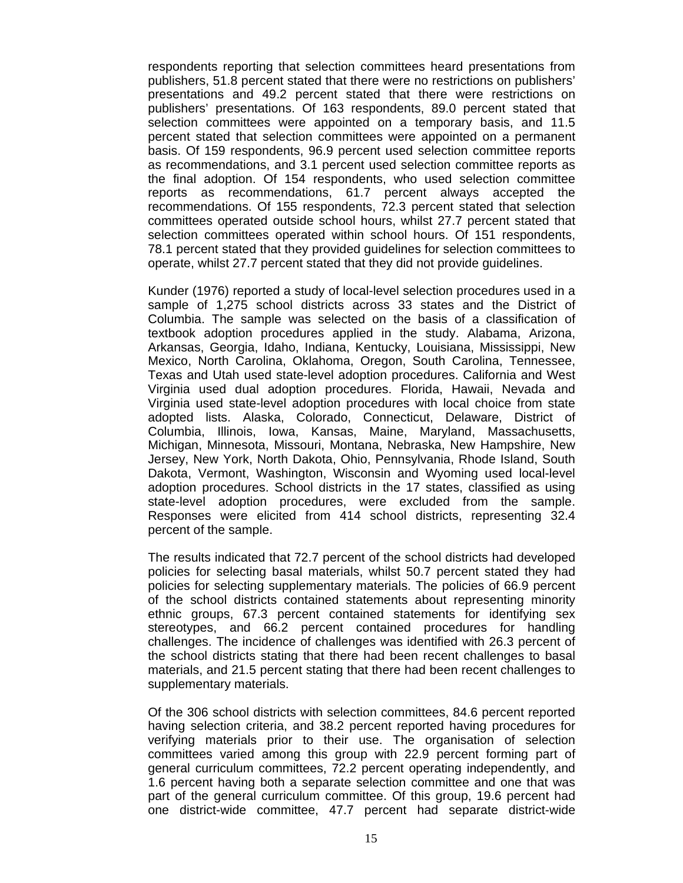respondents reporting that selection committees heard presentations from publishers, 51.8 percent stated that there were no restrictions on publishers' presentations and 49.2 percent stated that there were restrictions on publishers' presentations. Of 163 respondents, 89.0 percent stated that selection committees were appointed on a temporary basis, and 11.5 percent stated that selection committees were appointed on a permanent basis. Of 159 respondents, 96.9 percent used selection committee reports as recommendations, and 3.1 percent used selection committee reports as the final adoption. Of 154 respondents, who used selection committee reports as recommendations, 61.7 percent always accepted the recommendations. Of 155 respondents, 72.3 percent stated that selection committees operated outside school hours, whilst 27.7 percent stated that selection committees operated within school hours. Of 151 respondents, 78.1 percent stated that they provided guidelines for selection committees to operate, whilst 27.7 percent stated that they did not provide guidelines.

Kunder (1976) reported a study of local-level selection procedures used in a sample of 1,275 school districts across 33 states and the District of Columbia. The sample was selected on the basis of a classification of textbook adoption procedures applied in the study. Alabama, Arizona, Arkansas, Georgia, Idaho, Indiana, Kentucky, Louisiana, Mississippi, New Mexico, North Carolina, Oklahoma, Oregon, South Carolina, Tennessee, Texas and Utah used state-level adoption procedures. California and West Virginia used dual adoption procedures. Florida, Hawaii, Nevada and Virginia used state-level adoption procedures with local choice from state adopted lists. Alaska, Colorado, Connecticut, Delaware, District of Columbia, Illinois, Iowa, Kansas, Maine, Maryland, Massachusetts, Michigan, Minnesota, Missouri, Montana, Nebraska, New Hampshire, New Jersey, New York, North Dakota, Ohio, Pennsylvania, Rhode Island, South Dakota, Vermont, Washington, Wisconsin and Wyoming used local-level adoption procedures. School districts in the 17 states, classified as using state-level adoption procedures, were excluded from the sample. Responses were elicited from 414 school districts, representing 32.4 percent of the sample.

The results indicated that 72.7 percent of the school districts had developed policies for selecting basal materials, whilst 50.7 percent stated they had policies for selecting supplementary materials. The policies of 66.9 percent of the school districts contained statements about representing minority ethnic groups, 67.3 percent contained statements for identifying sex stereotypes, and 66.2 percent contained procedures for handling challenges. The incidence of challenges was identified with 26.3 percent of the school districts stating that there had been recent challenges to basal materials, and 21.5 percent stating that there had been recent challenges to supplementary materials.

Of the 306 school districts with selection committees, 84.6 percent reported having selection criteria, and 38.2 percent reported having procedures for verifying materials prior to their use. The organisation of selection committees varied among this group with 22.9 percent forming part of general curriculum committees, 72.2 percent operating independently, and 1.6 percent having both a separate selection committee and one that was part of the general curriculum committee. Of this group, 19.6 percent had one district-wide committee, 47.7 percent had separate district-wide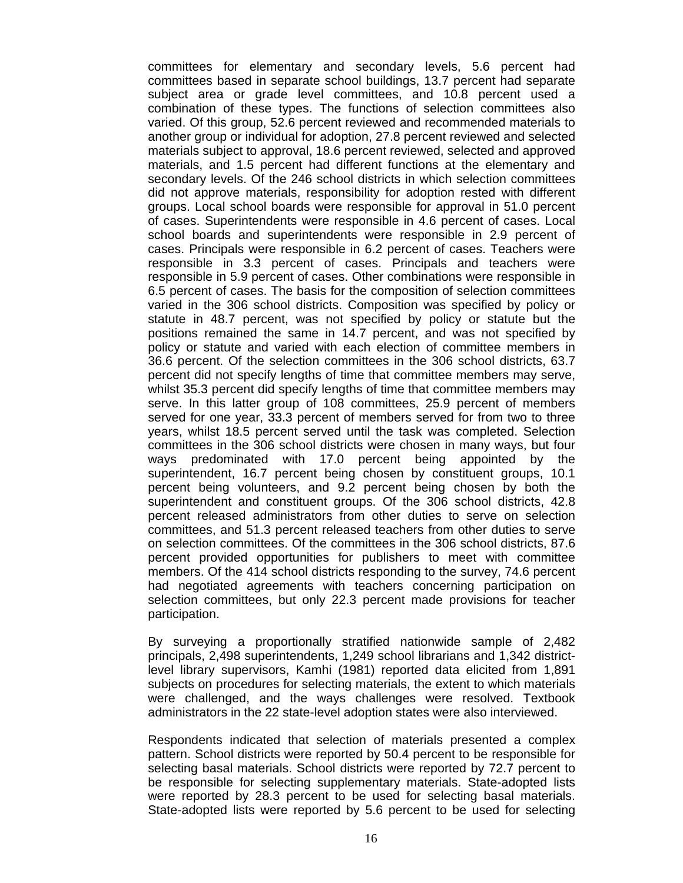committees for elementary and secondary levels, 5.6 percent had committees based in separate school buildings, 13.7 percent had separate subject area or grade level committees, and 10.8 percent used a combination of these types. The functions of selection committees also varied. Of this group, 52.6 percent reviewed and recommended materials to another group or individual for adoption, 27.8 percent reviewed and selected materials subject to approval, 18.6 percent reviewed, selected and approved materials, and 1.5 percent had different functions at the elementary and secondary levels. Of the 246 school districts in which selection committees did not approve materials, responsibility for adoption rested with different groups. Local school boards were responsible for approval in 51.0 percent of cases. Superintendents were responsible in 4.6 percent of cases. Local school boards and superintendents were responsible in 2.9 percent of cases. Principals were responsible in 6.2 percent of cases. Teachers were responsible in 3.3 percent of cases. Principals and teachers were responsible in 5.9 percent of cases. Other combinations were responsible in 6.5 percent of cases. The basis for the composition of selection committees varied in the 306 school districts. Composition was specified by policy or statute in 48.7 percent, was not specified by policy or statute but the positions remained the same in 14.7 percent, and was not specified by policy or statute and varied with each election of committee members in 36.6 percent. Of the selection committees in the 306 school districts, 63.7 percent did not specify lengths of time that committee members may serve, whilst 35.3 percent did specify lengths of time that committee members may serve. In this latter group of 108 committees, 25.9 percent of members served for one year, 33.3 percent of members served for from two to three years, whilst 18.5 percent served until the task was completed. Selection committees in the 306 school districts were chosen in many ways, but four ways predominated with 17.0 percent being appointed by the superintendent, 16.7 percent being chosen by constituent groups, 10.1 percent being volunteers, and 9.2 percent being chosen by both the superintendent and constituent groups. Of the 306 school districts, 42.8 percent released administrators from other duties to serve on selection committees, and 51.3 percent released teachers from other duties to serve on selection committees. Of the committees in the 306 school districts, 87.6 percent provided opportunities for publishers to meet with committee members. Of the 414 school districts responding to the survey, 74.6 percent had negotiated agreements with teachers concerning participation on selection committees, but only 22.3 percent made provisions for teacher participation.

By surveying a proportionally stratified nationwide sample of 2,482 principals, 2,498 superintendents, 1,249 school librarians and 1,342 districtlevel library supervisors, Kamhi (1981) reported data elicited from 1,891 subjects on procedures for selecting materials, the extent to which materials were challenged, and the ways challenges were resolved. Textbook administrators in the 22 state-level adoption states were also interviewed.

Respondents indicated that selection of materials presented a complex pattern. School districts were reported by 50.4 percent to be responsible for selecting basal materials. School districts were reported by 72.7 percent to be responsible for selecting supplementary materials. State-adopted lists were reported by 28.3 percent to be used for selecting basal materials. State-adopted lists were reported by 5.6 percent to be used for selecting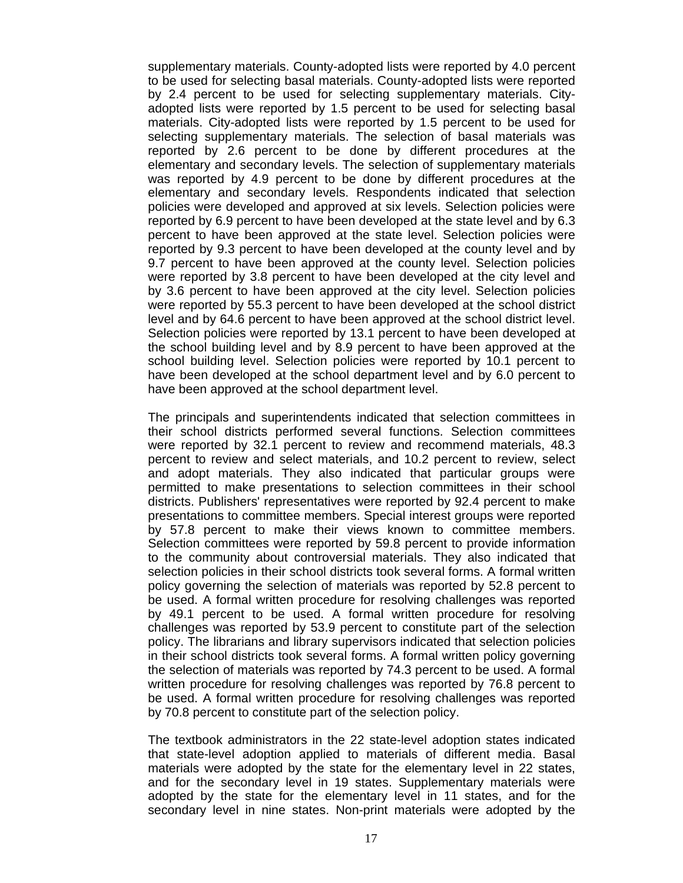supplementary materials. County-adopted lists were reported by 4.0 percent to be used for selecting basal materials. County-adopted lists were reported by 2.4 percent to be used for selecting supplementary materials. Cityadopted lists were reported by 1.5 percent to be used for selecting basal materials. City-adopted lists were reported by 1.5 percent to be used for selecting supplementary materials. The selection of basal materials was reported by 2.6 percent to be done by different procedures at the elementary and secondary levels. The selection of supplementary materials was reported by 4.9 percent to be done by different procedures at the elementary and secondary levels. Respondents indicated that selection policies were developed and approved at six levels. Selection policies were reported by 6.9 percent to have been developed at the state level and by 6.3 percent to have been approved at the state level. Selection policies were reported by 9.3 percent to have been developed at the county level and by 9.7 percent to have been approved at the county level. Selection policies were reported by 3.8 percent to have been developed at the city level and by 3.6 percent to have been approved at the city level. Selection policies were reported by 55.3 percent to have been developed at the school district level and by 64.6 percent to have been approved at the school district level. Selection policies were reported by 13.1 percent to have been developed at the school building level and by 8.9 percent to have been approved at the school building level. Selection policies were reported by 10.1 percent to have been developed at the school department level and by 6.0 percent to have been approved at the school department level.

The principals and superintendents indicated that selection committees in their school districts performed several functions. Selection committees were reported by 32.1 percent to review and recommend materials, 48.3 percent to review and select materials, and 10.2 percent to review, select and adopt materials. They also indicated that particular groups were permitted to make presentations to selection committees in their school districts. Publishers' representatives were reported by 92.4 percent to make presentations to committee members. Special interest groups were reported by 57.8 percent to make their views known to committee members. Selection committees were reported by 59.8 percent to provide information to the community about controversial materials. They also indicated that selection policies in their school districts took several forms. A formal written policy governing the selection of materials was reported by 52.8 percent to be used. A formal written procedure for resolving challenges was reported by 49.1 percent to be used. A formal written procedure for resolving challenges was reported by 53.9 percent to constitute part of the selection policy. The librarians and library supervisors indicated that selection policies in their school districts took several forms. A formal written policy governing the selection of materials was reported by 74.3 percent to be used. A formal written procedure for resolving challenges was reported by 76.8 percent to be used. A formal written procedure for resolving challenges was reported by 70.8 percent to constitute part of the selection policy.

The textbook administrators in the 22 state-level adoption states indicated that state-level adoption applied to materials of different media. Basal materials were adopted by the state for the elementary level in 22 states, and for the secondary level in 19 states. Supplementary materials were adopted by the state for the elementary level in 11 states, and for the secondary level in nine states. Non-print materials were adopted by the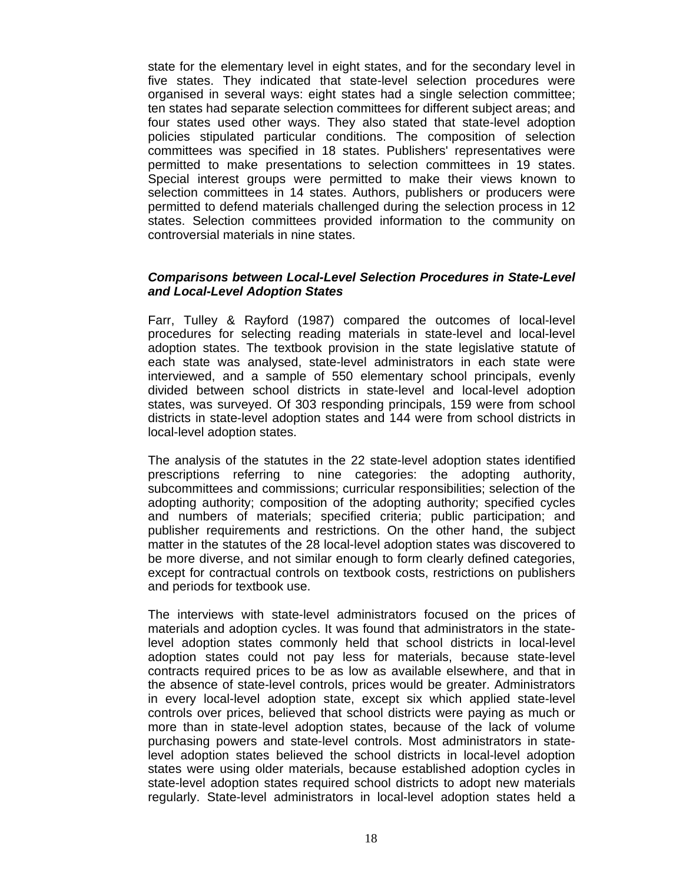state for the elementary level in eight states, and for the secondary level in five states. They indicated that state-level selection procedures were organised in several ways: eight states had a single selection committee; ten states had separate selection committees for different subject areas; and four states used other ways. They also stated that state-level adoption policies stipulated particular conditions. The composition of selection committees was specified in 18 states. Publishers' representatives were permitted to make presentations to selection committees in 19 states. Special interest groups were permitted to make their views known to selection committees in 14 states. Authors, publishers or producers were permitted to defend materials challenged during the selection process in 12 states. Selection committees provided information to the community on controversial materials in nine states.

### *Comparisons between Local-Level Selection Procedures in State-Level and Local-Level Adoption States*

Farr, Tulley & Rayford (1987) compared the outcomes of local-level procedures for selecting reading materials in state-level and local-level adoption states. The textbook provision in the state legislative statute of each state was analysed, state-level administrators in each state were interviewed, and a sample of 550 elementary school principals, evenly divided between school districts in state-level and local-level adoption states, was surveyed. Of 303 responding principals, 159 were from school districts in state-level adoption states and 144 were from school districts in local-level adoption states.

The analysis of the statutes in the 22 state-level adoption states identified prescriptions referring to nine categories: the adopting authority, subcommittees and commissions; curricular responsibilities; selection of the adopting authority; composition of the adopting authority; specified cycles and numbers of materials; specified criteria; public participation; and publisher requirements and restrictions. On the other hand, the subject matter in the statutes of the 28 local-level adoption states was discovered to be more diverse, and not similar enough to form clearly defined categories, except for contractual controls on textbook costs, restrictions on publishers and periods for textbook use.

The interviews with state-level administrators focused on the prices of materials and adoption cycles. It was found that administrators in the statelevel adoption states commonly held that school districts in local-level adoption states could not pay less for materials, because state-level contracts required prices to be as low as available elsewhere, and that in the absence of state-level controls, prices would be greater. Administrators in every local-level adoption state, except six which applied state-level controls over prices, believed that school districts were paying as much or more than in state-level adoption states, because of the lack of volume purchasing powers and state-level controls. Most administrators in statelevel adoption states believed the school districts in local-level adoption states were using older materials, because established adoption cycles in state-level adoption states required school districts to adopt new materials regularly. State-level administrators in local-level adoption states held a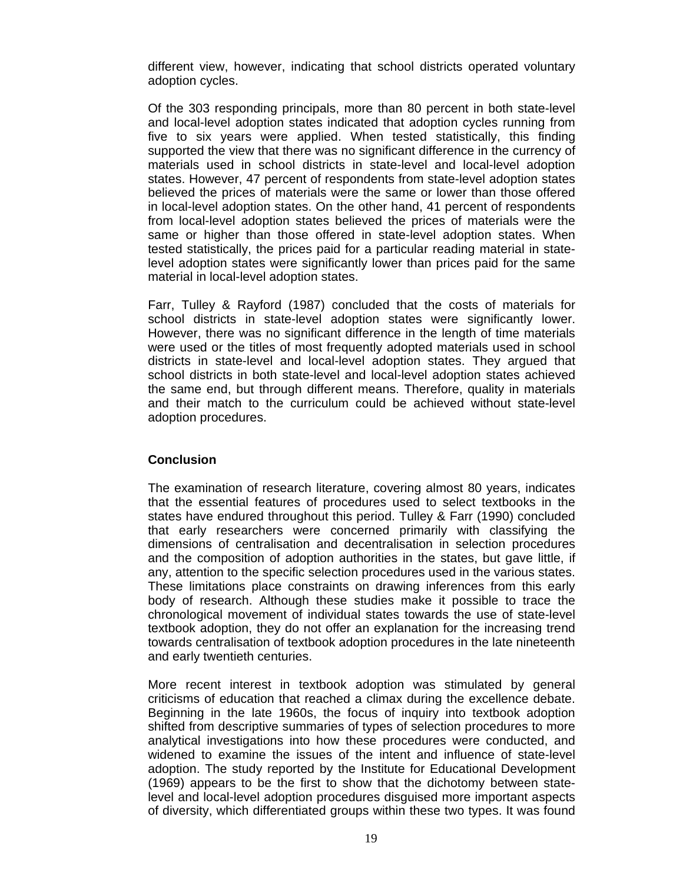different view, however, indicating that school districts operated voluntary adoption cycles.

Of the 303 responding principals, more than 80 percent in both state-level and local-level adoption states indicated that adoption cycles running from five to six years were applied. When tested statistically, this finding supported the view that there was no significant difference in the currency of materials used in school districts in state-level and local-level adoption states. However, 47 percent of respondents from state-level adoption states believed the prices of materials were the same or lower than those offered in local-level adoption states. On the other hand, 41 percent of respondents from local-level adoption states believed the prices of materials were the same or higher than those offered in state-level adoption states. When tested statistically, the prices paid for a particular reading material in statelevel adoption states were significantly lower than prices paid for the same material in local-level adoption states.

Farr, Tulley & Rayford (1987) concluded that the costs of materials for school districts in state-level adoption states were significantly lower. However, there was no significant difference in the length of time materials were used or the titles of most frequently adopted materials used in school districts in state-level and local-level adoption states. They argued that school districts in both state-level and local-level adoption states achieved the same end, but through different means. Therefore, quality in materials and their match to the curriculum could be achieved without state-level adoption procedures.

# **Conclusion**

The examination of research literature, covering almost 80 years, indicates that the essential features of procedures used to select textbooks in the states have endured throughout this period. Tulley & Farr (1990) concluded that early researchers were concerned primarily with classifying the dimensions of centralisation and decentralisation in selection procedures and the composition of adoption authorities in the states, but gave little, if any, attention to the specific selection procedures used in the various states. These limitations place constraints on drawing inferences from this early body of research. Although these studies make it possible to trace the chronological movement of individual states towards the use of state-level textbook adoption, they do not offer an explanation for the increasing trend towards centralisation of textbook adoption procedures in the late nineteenth and early twentieth centuries.

More recent interest in textbook adoption was stimulated by general criticisms of education that reached a climax during the excellence debate. Beginning in the late 1960s, the focus of inquiry into textbook adoption shifted from descriptive summaries of types of selection procedures to more analytical investigations into how these procedures were conducted, and widened to examine the issues of the intent and influence of state-level adoption. The study reported by the Institute for Educational Development (1969) appears to be the first to show that the dichotomy between statelevel and local-level adoption procedures disguised more important aspects of diversity, which differentiated groups within these two types. It was found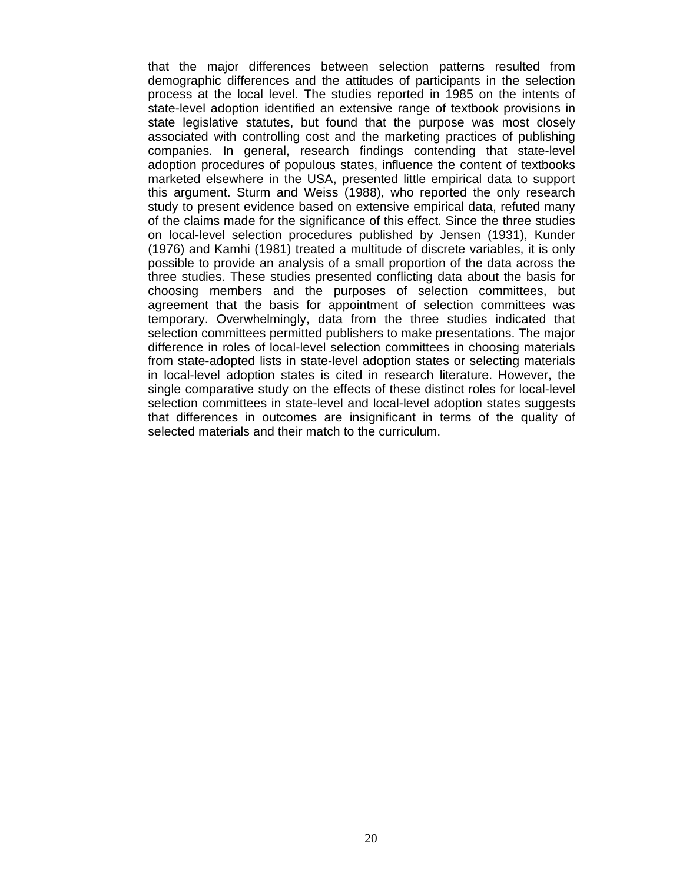that the major differences between selection patterns resulted from demographic differences and the attitudes of participants in the selection process at the local level. The studies reported in 1985 on the intents of state-level adoption identified an extensive range of textbook provisions in state legislative statutes, but found that the purpose was most closely associated with controlling cost and the marketing practices of publishing companies. In general, research findings contending that state-level adoption procedures of populous states, influence the content of textbooks marketed elsewhere in the USA, presented little empirical data to support this argument. Sturm and Weiss (1988), who reported the only research study to present evidence based on extensive empirical data, refuted many of the claims made for the significance of this effect. Since the three studies on local-level selection procedures published by Jensen (1931), Kunder (1976) and Kamhi (1981) treated a multitude of discrete variables, it is only possible to provide an analysis of a small proportion of the data across the three studies. These studies presented conflicting data about the basis for choosing members and the purposes of selection committees, but agreement that the basis for appointment of selection committees was temporary. Overwhelmingly, data from the three studies indicated that selection committees permitted publishers to make presentations. The major difference in roles of local-level selection committees in choosing materials from state-adopted lists in state-level adoption states or selecting materials in local-level adoption states is cited in research literature. However, the single comparative study on the effects of these distinct roles for local-level selection committees in state-level and local-level adoption states suggests that differences in outcomes are insignificant in terms of the quality of selected materials and their match to the curriculum.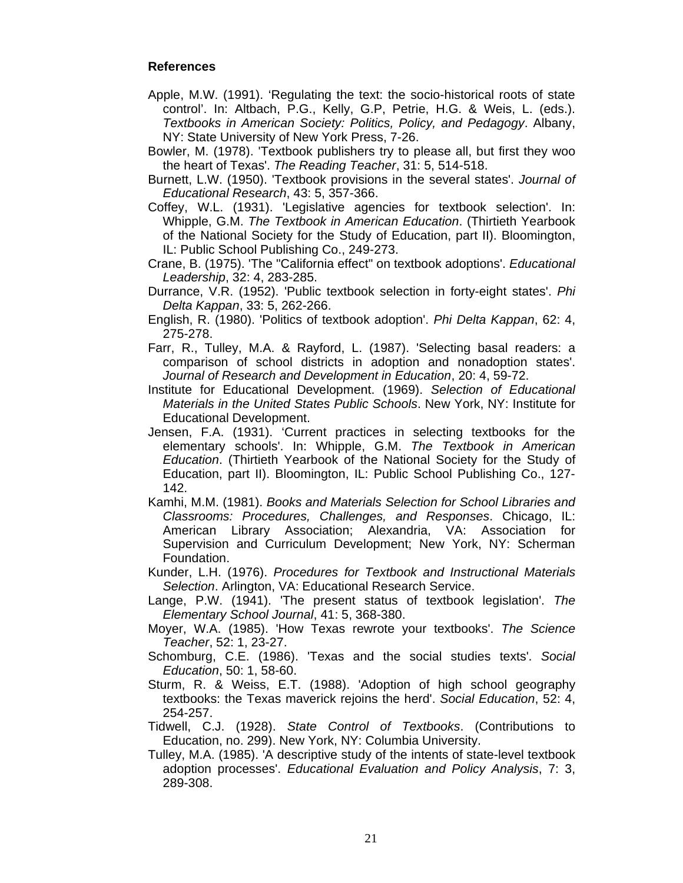## **References**

- Apple, M.W. (1991). 'Regulating the text: the socio-historical roots of state control'. In: Altbach, P.G., Kelly, G.P, Petrie, H.G. & Weis, L. (eds.). *Textbooks in American Society: Politics, Policy, and Pedagogy*. Albany, NY: State University of New York Press, 7-26.
- Bowler, M. (1978). 'Textbook publishers try to please all, but first they woo the heart of Texas'. *The Reading Teacher*, 31: 5, 514-518.
- Burnett, L.W. (1950). 'Textbook provisions in the several states'. *Journal of Educational Research*, 43: 5, 357-366.
- Coffey, W.L. (1931). 'Legislative agencies for textbook selection'. In: Whipple, G.M. *The Textbook in American Education*. (Thirtieth Yearbook of the National Society for the Study of Education, part II). Bloomington, IL: Public School Publishing Co., 249-273.
- Crane, B. (1975). 'The "California effect" on textbook adoptions'. *Educational Leadership*, 32: 4, 283-285.
- Durrance, V.R. (1952). 'Public textbook selection in forty-eight states'. *Phi Delta Kappan*, 33: 5, 262-266.
- English, R. (1980). 'Politics of textbook adoption'. *Phi Delta Kappan*, 62: 4, 275-278.
- Farr, R., Tulley, M.A. & Rayford, L. (1987). 'Selecting basal readers: a comparison of school districts in adoption and nonadoption states'. *Journal of Research and Development in Education*, 20: 4, 59-72.
- Institute for Educational Development. (1969). *Selection of Educational Materials in the United States Public Schools*. New York, NY: Institute for Educational Development.
- Jensen, F.A. (1931). 'Current practices in selecting textbooks for the elementary schools'. In: Whipple, G.M. *The Textbook in American Education*. (Thirtieth Yearbook of the National Society for the Study of Education, part II). Bloomington, IL: Public School Publishing Co., 127- 142.
- Kamhi, M.M. (1981). *Books and Materials Selection for School Libraries and Classrooms: Procedures, Challenges, and Responses*. Chicago, IL: American Library Association; Alexandria, VA: Association for Supervision and Curriculum Development; New York, NY: Scherman Foundation.
- Kunder, L.H. (1976). *Procedures for Textbook and Instructional Materials Selection*. Arlington, VA: Educational Research Service.
- Lange, P.W. (1941). 'The present status of textbook legislation'. *The Elementary School Journal*, 41: 5, 368-380.
- Moyer, W.A. (1985). 'How Texas rewrote your textbooks'. *The Science Teacher*, 52: 1, 23-27.
- Schomburg, C.E. (1986). 'Texas and the social studies texts'. *Social Education*, 50: 1, 58-60.
- Sturm, R. & Weiss, E.T. (1988). 'Adoption of high school geography textbooks: the Texas maverick rejoins the herd'. *Social Education*, 52: 4, 254-257.
- Tidwell, C.J. (1928). *State Control of Textbooks*. (Contributions to Education, no. 299). New York, NY: Columbia University.
- Tulley, M.A. (1985). 'A descriptive study of the intents of state-level textbook adoption processes'. *Educational Evaluation and Policy Analysis*, 7: 3, 289-308.